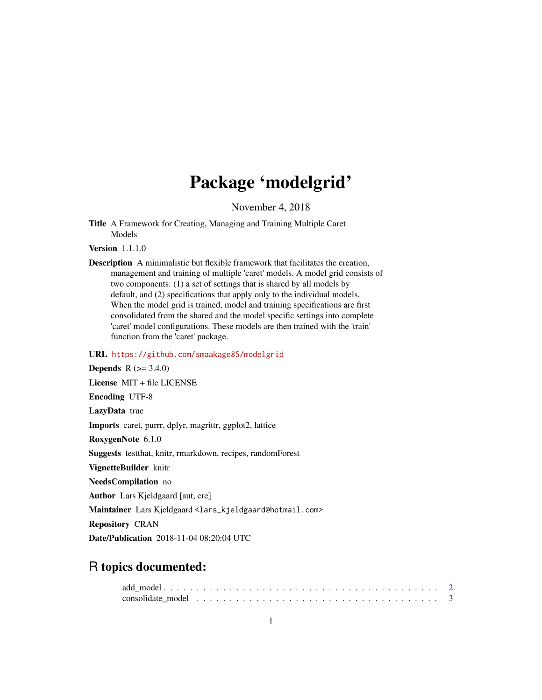## Package 'modelgrid'

November 4, 2018

<span id="page-0-0"></span>Title A Framework for Creating, Managing and Training Multiple Caret Models

Version 1.1.1.0

Description A minimalistic but flexible framework that facilitates the creation, management and training of multiple 'caret' models. A model grid consists of two components: (1) a set of settings that is shared by all models by default, and (2) specifications that apply only to the individual models. When the model grid is trained, model and training specifications are first consolidated from the shared and the model specific settings into complete 'caret' model configurations. These models are then trained with the 'train' function from the 'caret' package.

#### URL <https://github.com/smaakage85/modelgrid>

**Depends**  $R$  ( $> = 3.4.0$ ) License MIT + file LICENSE Encoding UTF-8 LazyData true Imports caret, purrr, dplyr, magrittr, ggplot2, lattice RoxygenNote 6.1.0 Suggests testthat, knitr, rmarkdown, recipes, randomForest VignetteBuilder knitr NeedsCompilation no Author Lars Kjeldgaard [aut, cre] Maintainer Lars Kjeldgaard <lars\_kjeldgaard@hotmail.com> Repository CRAN Date/Publication 2018-11-04 08:20:04 UTC

### R topics documented: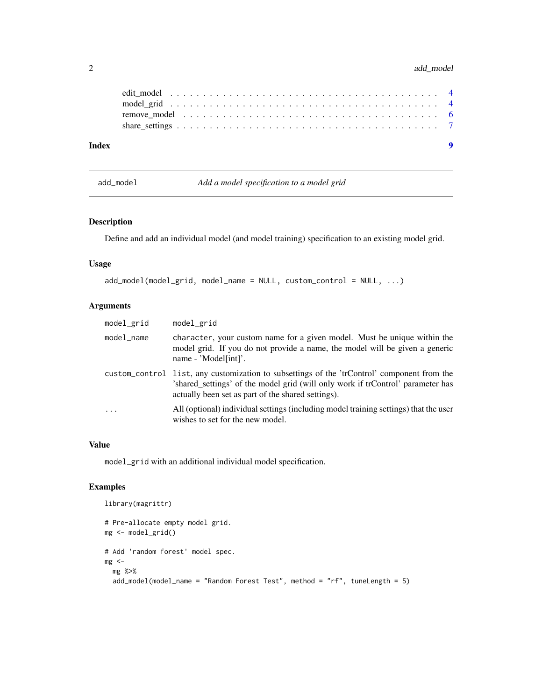#### <span id="page-1-0"></span>2 add\_model

| Index |  |
|-------|--|
|       |  |
|       |  |
|       |  |
|       |  |

<span id="page-1-1"></span>add\_model *Add a model specification to a model grid*

#### Description

Define and add an individual model (and model training) specification to an existing model grid.

#### Usage

```
add_model(model_grid, model_name = NULL, custom_control = NULL, ...)
```
#### Arguments

| model_grid | model_grid                                                                                                                                                                                                                           |
|------------|--------------------------------------------------------------------------------------------------------------------------------------------------------------------------------------------------------------------------------------|
| model_name | character, your custom name for a given model. Must be unique within the<br>model grid. If you do not provide a name, the model will be given a generic<br>name - 'Model[int]'.                                                      |
|            | custom_control list, any customization to subsettings of the 'trControl' component from the<br>'shared_settings' of the model grid (will only work if trControl' parameter has<br>actually been set as part of the shared settings). |
| $\cdot$    | All (optional) individual settings (including model training settings) that the user<br>wishes to set for the new model.                                                                                                             |

#### Value

model\_grid with an additional individual model specification.

#### Examples

```
library(magrittr)
# Pre-allocate empty model grid.
mg <- model_grid()
# Add 'random forest' model spec.
mg <-mg %>%
  add_model(model_name = "Random Forest Test", method = "rf", tuneLength = 5)
```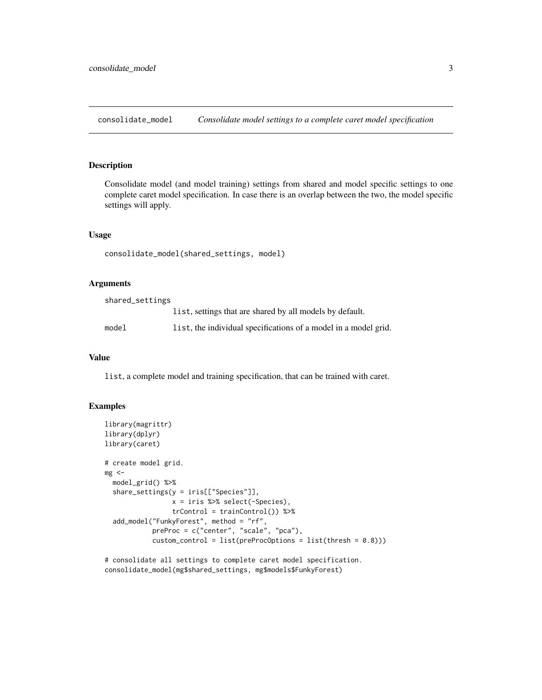<span id="page-2-1"></span><span id="page-2-0"></span>consolidate\_model *Consolidate model settings to a complete caret model specification*

#### Description

Consolidate model (and model training) settings from shared and model specific settings to one complete caret model specification. In case there is an overlap between the two, the model specific settings will apply.

#### Usage

consolidate\_model(shared\_settings, model)

#### Arguments

| shared_settings |                                                                 |
|-----------------|-----------------------------------------------------------------|
|                 | list, settings that are shared by all models by default.        |
| model           | list, the individual specifications of a model in a model grid. |

#### Value

list, a complete model and training specification, that can be trained with caret.

#### Examples

```
library(magrittr)
library(dplyr)
library(caret)
# create model grid.
mg < -model_grid() %>%
 share_settings(y = iris[["Species"]],
                 x = iris %>% select(-Species),
                 trControl = trainControl()) %>%
 add_model("FunkyForest", method = "rf",
            preProc = c("center", "scale", "pca"),
            custom_countrol = list(preProCOptions = list(thresh = 0.8)))
```
# consolidate all settings to complete caret model specification. consolidate\_model(mg\$shared\_settings, mg\$models\$FunkyForest)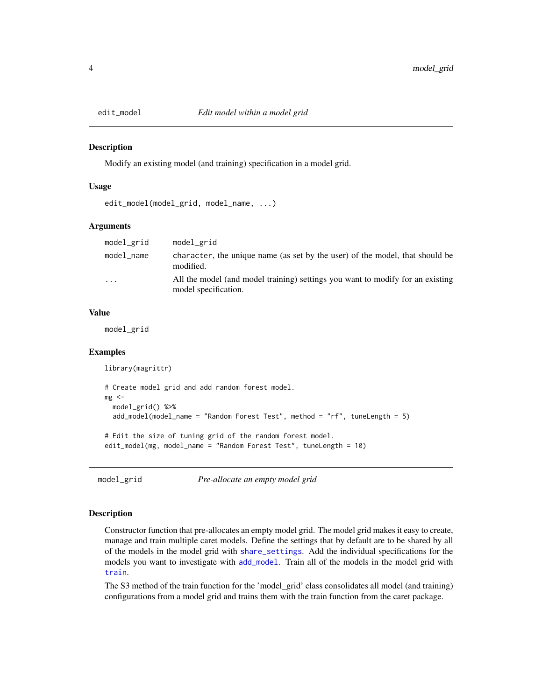<span id="page-3-1"></span><span id="page-3-0"></span>

#### **Description**

Modify an existing model (and training) specification in a model grid.

#### Usage

```
edit_model(model_grid, model_name, ...)
```
#### Arguments

| model_grid | model_grid                                                                                             |
|------------|--------------------------------------------------------------------------------------------------------|
| model name | character, the unique name (as set by the user) of the model, that should be<br>modified.              |
| $\cdot$    | All the model (and model training) settings you want to modify for an existing<br>model specification. |

#### Value

model\_grid

#### Examples

```
library(magrittr)
# Create model grid and add random forest model.
mg < -model_grid() %>%
 add_model(model_name = "Random Forest Test", method = "rf", tuneLength = 5)
# Edit the size of tuning grid of the random forest model.
edit_model(mg, model_name = "Random Forest Test", tuneLength = 10)
```
model\_grid *Pre-allocate an empty model grid*

#### Description

Constructor function that pre-allocates an empty model grid. The model grid makes it easy to create, manage and train multiple caret models. Define the settings that by default are to be shared by all of the models in the model grid with [share\\_settings](#page-6-1). Add the individual specifications for the models you want to investigate with [add\\_model](#page-1-1). Train all of the models in the model grid with [train](#page-0-0).

The S3 method of the train function for the 'model\_grid' class consolidates all model (and training) configurations from a model grid and trains them with the train function from the caret package.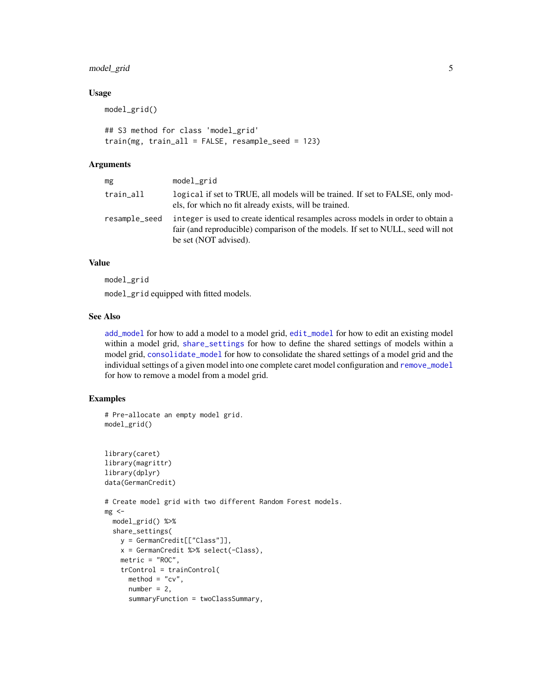#### <span id="page-4-0"></span>model\_grid 5

#### Usage

model\_grid()

```
## S3 method for class 'model_grid'
train(mg, train_all = FALSE, resample_seed = 123)
```
#### Arguments

| mg            | model_grid                                                                                                                                                                                   |
|---------------|----------------------------------------------------------------------------------------------------------------------------------------------------------------------------------------------|
| train_all     | logical if set to TRUE, all models will be trained. If set to FALSE, only mod-<br>els, for which no fit already exists, will be trained.                                                     |
| resample_seed | integer is used to create identical resamples across models in order to obtain a<br>fair (and reproducible) comparison of the models. If set to NULL, seed will not<br>be set (NOT advised). |

#### Value

model\_grid

model\_grid equipped with fitted models.

#### See Also

[add\\_model](#page-1-1) for how to add a model to a model grid, [edit\\_model](#page-3-1) for how to edit an existing model within a model grid, [share\\_settings](#page-6-1) for how to define the shared settings of models within a model grid, [consolidate\\_model](#page-2-1) for how to consolidate the shared settings of a model grid and the individual settings of a given model into one complete caret model configuration and [remove\\_model](#page-5-1) for how to remove a model from a model grid.

#### Examples

```
# Pre-allocate an empty model grid.
model_grid()
library(caret)
library(magrittr)
library(dplyr)
data(GermanCredit)
# Create model grid with two different Random Forest models.
mg <-model_grid() %>%
  share_settings(
   y = GermanCredit[["Class"]],
    x = GermanCredit %>% select(-Class),
    metric = "ROC",
    trControl = trainControl(
     \text{method} = "cv",number = 2,
      summaryFunction = twoClassSummary,
```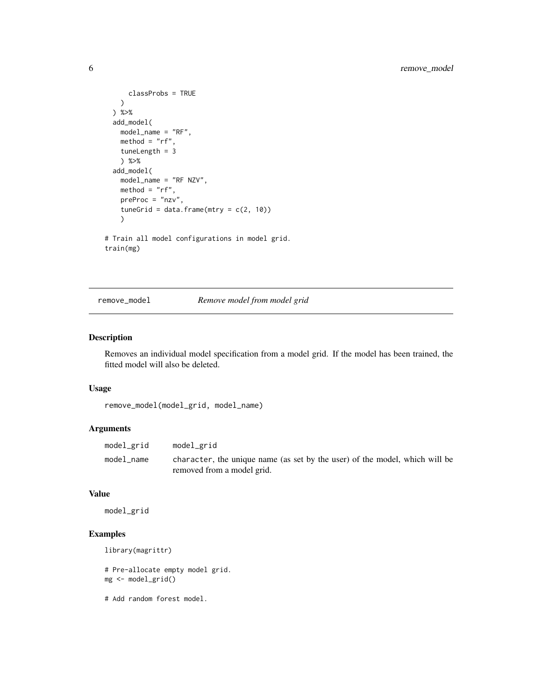```
classProbs = TRUE
   )
 ) %>%
 add_model(
   model_name = "RF",
   method = "rf",tuneLength = 3
   ) %>%
 add_model(
   model_name = "RF NZV",
   method = "rf",preProc = "nzv",
    tuneGrid = data.frame(mtry = c(2, 10))
    \mathcal{L}# Train all model configurations in model grid.
train(mg)
```
#### <span id="page-5-1"></span>remove\_model *Remove model from model grid*

#### Description

Removes an individual model specification from a model grid. If the model has been trained, the fitted model will also be deleted.

#### Usage

```
remove_model(model_grid, model_name)
```
#### Arguments

| model_grid | model_grid                                                                                                |
|------------|-----------------------------------------------------------------------------------------------------------|
| model name | character, the unique name (as set by the user) of the model, which will be<br>removed from a model grid. |

#### Value

model\_grid

#### Examples

```
library(magrittr)
```
# Pre-allocate empty model grid. mg <- model\_grid()

# Add random forest model.

<span id="page-5-0"></span>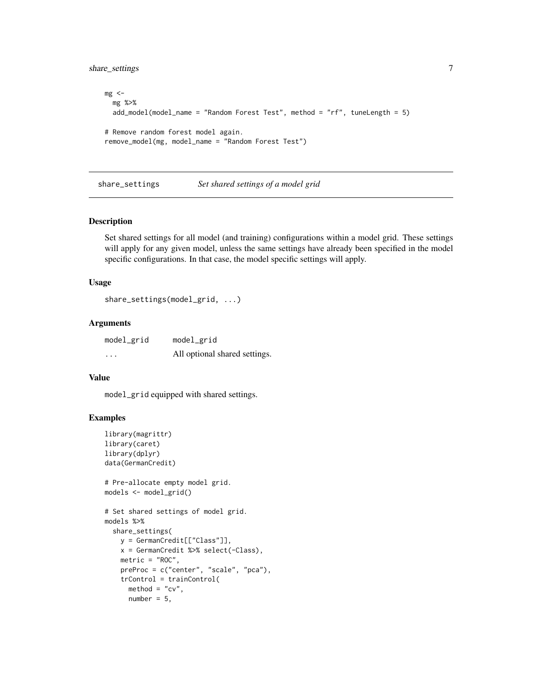<span id="page-6-0"></span>share\_settings 7

```
mg <-mg %>%
  add_model(model_name = "Random Forest Test", method = "rf", tuneLength = 5)
# Remove random forest model again.
remove_model(mg, model_name = "Random Forest Test")
```
<span id="page-6-1"></span>share\_settings *Set shared settings of a model grid*

#### Description

Set shared settings for all model (and training) configurations within a model grid. These settings will apply for any given model, unless the same settings have already been specified in the model specific configurations. In that case, the model specific settings will apply.

#### Usage

```
share_settings(model_grid, ...)
```
#### Arguments

model\_grid model\_grid ... All optional shared settings.

#### Value

model\_grid equipped with shared settings.

#### Examples

```
library(magrittr)
library(caret)
library(dplyr)
data(GermanCredit)
# Pre-allocate empty model grid.
models <- model_grid()
# Set shared settings of model grid.
models %>%
  share_settings(
   y = GermanCredit[["Class"]],
    x = GermanCredit %>% select(-Class),
   metric = "ROC",
   preProc = c("center", "scale", "pca"),
    trControl = trainControl(
     method = "cv",number = 5,
```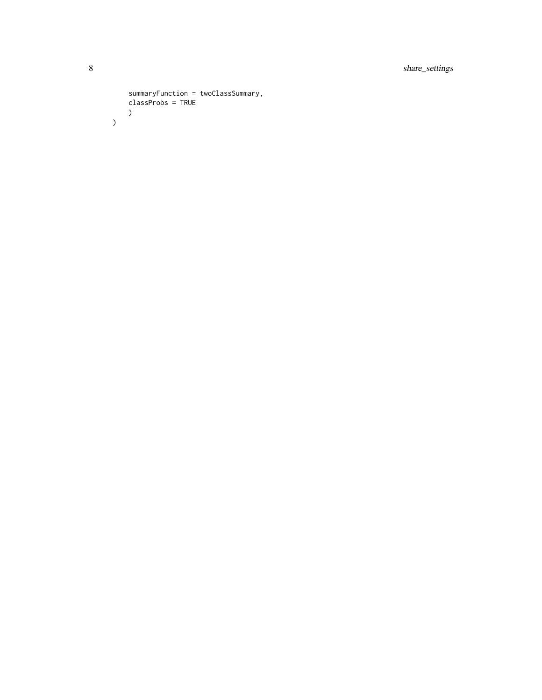```
summaryFunction = twoClassSummary,
      classProbs = TRUE \mathcal{L}\mathcal{L}
```